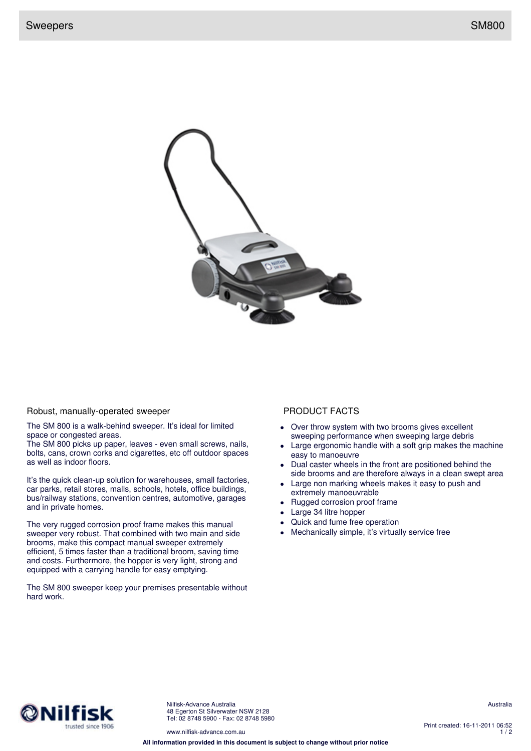

## Robust, manually-operated sweeper PRODUCT FACTS

The SM 800 is a walk-behind sweeper. It's ideal for limited space or congested areas.

The SM 800 picks up paper, leaves - even small screws, nails, bolts, cans, crown corks and cigarettes, etc off outdoor spaces as well as indoor floors.

It's the quick clean-up solution for warehouses, small factories, car parks, retail stores, malls, schools, hotels, office buildings, bus/railway stations, convention centres, automotive, garages and in private homes.

The very rugged corrosion proof frame makes this manual sweeper very robust. That combined with two main and side brooms, make this compact manual sweeper extremely efficient, 5 times faster than a traditional broom, saving time and costs. Furthermore, the hopper is very light, strong and equipped with a carrying handle for easy emptying.

The SM 800 sweeper keep your premises presentable without hard work.

- Over throw system with two brooms gives excellent sweeping performance when sweeping large debris
- Large ergonomic handle with a soft grip makes the machine easy to manoeuvre
- Dual caster wheels in the front are positioned behind the side brooms and are therefore always in a clean swept area
- Large non marking wheels makes it easy to push and extremely manoeuvrable
- Rugged corrosion proof frame
- Large 34 litre hopper
- Quick and fume free operation
- Mechanically simple, it's virtually service free



Nilfisk-Advance Australia 48 Egerton St Silverwater NSW 2128 Tel: 02 8748 5900 - Fax: 02 8748 5980